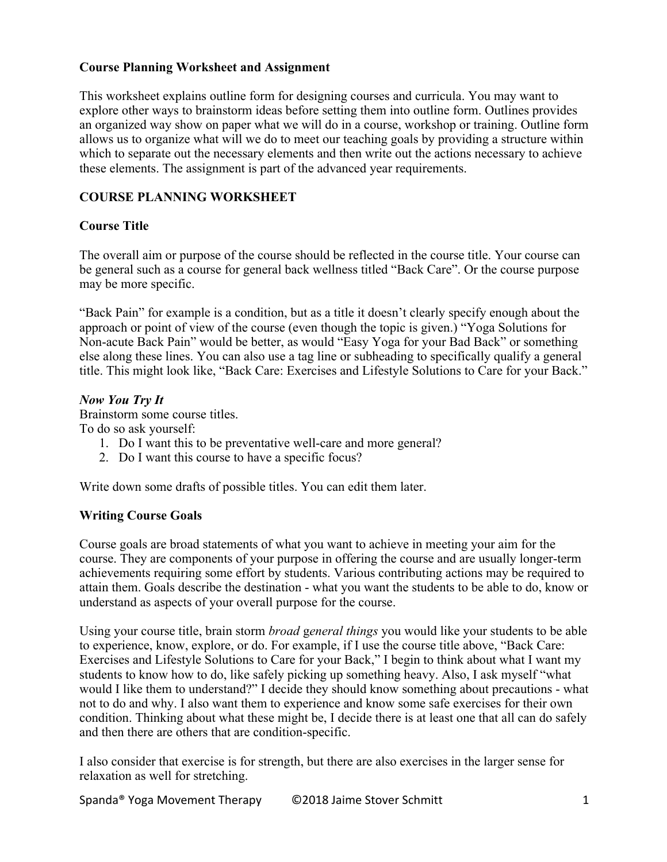### **Course Planning Worksheet and Assignment**

This worksheet explains outline form for designing courses and curricula. You may want to explore other ways to brainstorm ideas before setting them into outline form. Outlines provides an organized way show on paper what we will do in a course, workshop or training. Outline form allows us to organize what will we do to meet our teaching goals by providing a structure within which to separate out the necessary elements and then write out the actions necessary to achieve these elements. The assignment is part of the advanced year requirements.

# **COURSE PLANNING WORKSHEET**

# **Course Title**

The overall aim or purpose of the course should be reflected in the course title. Your course can be general such as a course for general back wellness titled "Back Care". Or the course purpose may be more specific.

"Back Pain" for example is a condition, but as a title it doesn't clearly specify enough about the approach or point of view of the course (even though the topic is given.) "Yoga Solutions for Non-acute Back Pain" would be better, as would "Easy Yoga for your Bad Back" or something else along these lines. You can also use a tag line or subheading to specifically qualify a general title. This might look like, "Back Care: Exercises and Lifestyle Solutions to Care for your Back."

#### *Now You Try It*

Brainstorm some course titles. To do so ask yourself:

- 1. Do I want this to be preventative well-care and more general?
- 2. Do I want this course to have a specific focus?

Write down some drafts of possible titles. You can edit them later.

# **Writing Course Goals**

Course goals are broad statements of what you want to achieve in meeting your aim for the course. They are components of your purpose in offering the course and are usually longer-term achievements requiring some effort by students. Various contributing actions may be required to attain them. Goals describe the destination - what you want the students to be able to do, know or understand as aspects of your overall purpose for the course.

Using your course title, brain storm *broad* g*eneral things* you would like your students to be able to experience, know, explore, or do. For example, if I use the course title above, "Back Care: Exercises and Lifestyle Solutions to Care for your Back," I begin to think about what I want my students to know how to do, like safely picking up something heavy. Also, I ask myself "what would I like them to understand?" I decide they should know something about precautions - what not to do and why. I also want them to experience and know some safe exercises for their own condition. Thinking about what these might be, I decide there is at least one that all can do safely and then there are others that are condition-specific.

I also consider that exercise is for strength, but there are also exercises in the larger sense for relaxation as well for stretching.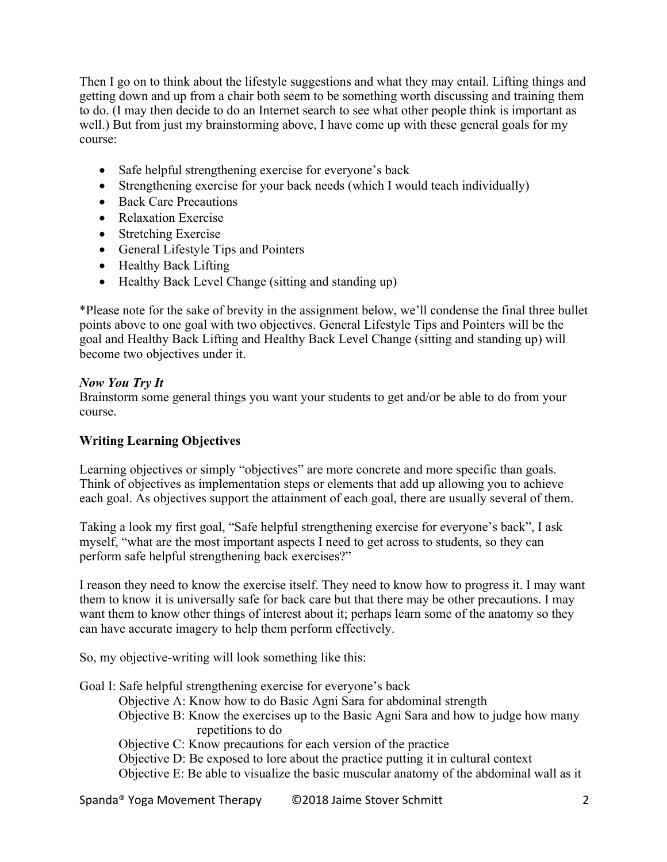Then I go on to think about the lifestyle suggestions and what they may entail. Lifting things and getting down and up from a chair both seem to be something worth discussing and training them to do. (I may then decide to do an Internet search to see what other people think is important as well.) But from just my brainstorming above, I have come up with these general goals for my course:

- Safe helpful strengthening exercise for everyone's back
- Strengthening exercise for your back needs (which I would teach individually)
- Back Care Precautions
- Relaxation Exercise
- Stretching Exercise
- General Lifestyle Tips and Pointers
- Healthy Back Lifting
- Healthy Back Level Change (sitting and standing up)

\*Please note for the sake of brevity in the assignment below, we'll condense the final three bullet points above to one goal with two objectives. General Lifestyle Tips and Pointers will be the goal and Healthy Back Lifting and Healthy Back Level Change (sitting and standing up) will become two objectives under it.

# *Now You Try It*

Brainstorm some general things you want your students to get and/or be able to do from your course.

# **Writing Learning Objectives**

Learning objectives or simply "objectives" are more concrete and more specific than goals. Think of objectives as implementation steps or elements that add up allowing you to achieve each goal. As objectives support the attainment of each goal, there are usually several of them.

Taking a look my first goal, "Safe helpful strengthening exercise for everyone's back", I ask myself, "what are the most important aspects I need to get across to students, so they can perform safe helpful strengthening back exercises?"

I reason they need to know the exercise itself. They need to know how to progress it. I may want them to know it is universally safe for back care but that there may be other precautions. I may want them to know other things of interest about it; perhaps learn some of the anatomy so they can have accurate imagery to help them perform effectively.

So, my objective-writing will look something like this:

Goal I: Safe helpful strengthening exercise for everyone's back Objective A: Know how to do Basic Agni Sara for abdominal strength Objective B: Know the exercises up to the Basic Agni Sara and how to judge how many repetitions to do Objective C: Know precautions for each version of the practice Objective D: Be exposed to lore about the practice putting it in cultural context Objective E: Be able to visualize the basic muscular anatomy of the abdominal wall as it

Spanda® Yoga Movement Therapy ©2018 Jaime Stover Schmitt 2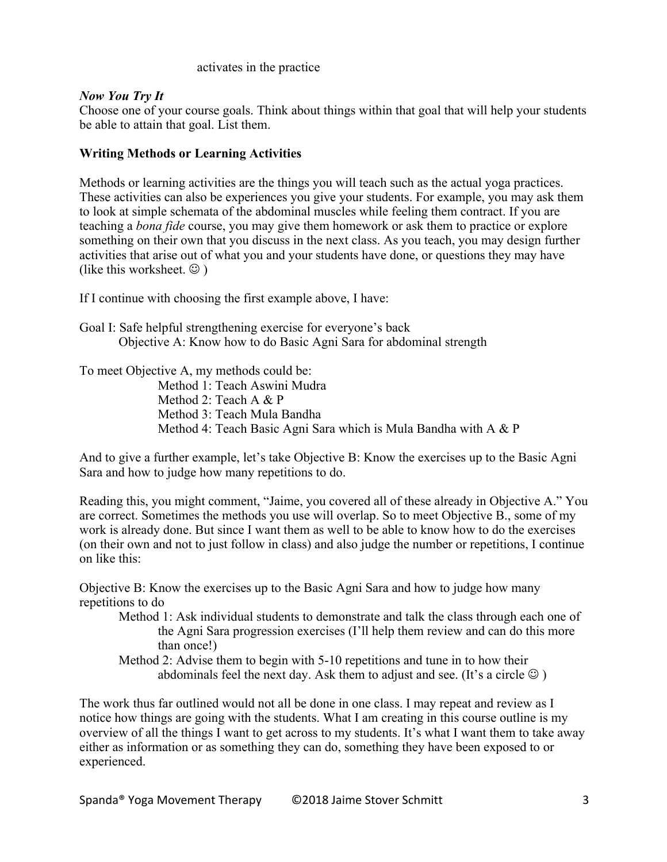#### activates in the practice

#### *Now You Try It*

Choose one of your course goals. Think about things within that goal that will help your students be able to attain that goal. List them.

#### **Writing Methods or Learning Activities**

Methods or learning activities are the things you will teach such as the actual yoga practices. These activities can also be experiences you give your students. For example, you may ask them to look at simple schemata of the abdominal muscles while feeling them contract. If you are teaching a *bona fide* course, you may give them homework or ask them to practice or explore something on their own that you discuss in the next class. As you teach, you may design further activities that arise out of what you and your students have done, or questions they may have (like this worksheet.  $\odot$ )

If I continue with choosing the first example above, I have:

Goal I: Safe helpful strengthening exercise for everyone's back Objective A: Know how to do Basic Agni Sara for abdominal strength

To meet Objective A, my methods could be:

Method 1: Teach Aswini Mudra Method 2: Teach A & P Method 3: Teach Mula Bandha Method 4: Teach Basic Agni Sara which is Mula Bandha with A & P

And to give a further example, let's take Objective B: Know the exercises up to the Basic Agni Sara and how to judge how many repetitions to do.

Reading this, you might comment, "Jaime, you covered all of these already in Objective A." You are correct. Sometimes the methods you use will overlap. So to meet Objective B., some of my work is already done. But since I want them as well to be able to know how to do the exercises (on their own and not to just follow in class) and also judge the number or repetitions, I continue on like this:

Objective B: Know the exercises up to the Basic Agni Sara and how to judge how many repetitions to do

Method 1: Ask individual students to demonstrate and talk the class through each one of the Agni Sara progression exercises (I'll help them review and can do this more than once!)

Method 2: Advise them to begin with 5-10 repetitions and tune in to how their abdominals feel the next day. Ask them to adjust and see. (It's a circle  $\odot$  )

The work thus far outlined would not all be done in one class. I may repeat and review as I notice how things are going with the students. What I am creating in this course outline is my overview of all the things I want to get across to my students. It's what I want them to take away either as information or as something they can do, something they have been exposed to or experienced.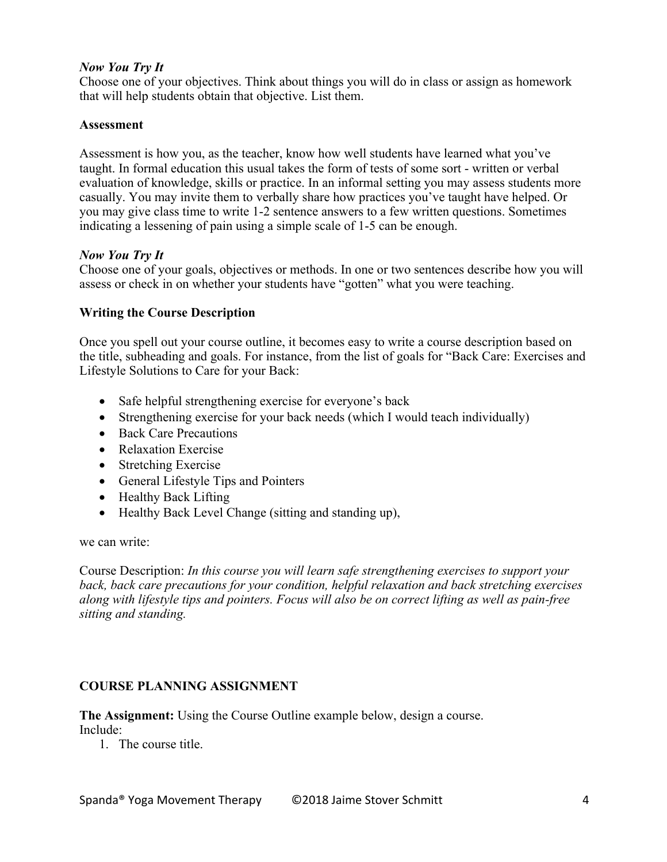# *Now You Try It*

Choose one of your objectives. Think about things you will do in class or assign as homework that will help students obtain that objective. List them.

#### **Assessment**

Assessment is how you, as the teacher, know how well students have learned what you've taught. In formal education this usual takes the form of tests of some sort - written or verbal evaluation of knowledge, skills or practice. In an informal setting you may assess students more casually. You may invite them to verbally share how practices you've taught have helped. Or you may give class time to write 1-2 sentence answers to a few written questions. Sometimes indicating a lessening of pain using a simple scale of 1-5 can be enough.

#### *Now You Try It*

Choose one of your goals, objectives or methods. In one or two sentences describe how you will assess or check in on whether your students have "gotten" what you were teaching.

### **Writing the Course Description**

Once you spell out your course outline, it becomes easy to write a course description based on the title, subheading and goals. For instance, from the list of goals for "Back Care: Exercises and Lifestyle Solutions to Care for your Back:

- Safe helpful strengthening exercise for everyone's back
- Strengthening exercise for your back needs (which I would teach individually)
- Back Care Precautions
- Relaxation Exercise
- Stretching Exercise
- General Lifestyle Tips and Pointers
- Healthy Back Lifting
- Healthy Back Level Change (sitting and standing up),

we can write:

Course Description: *In this course you will learn safe strengthening exercises to support your back, back care precautions for your condition, helpful relaxation and back stretching exercises along with lifestyle tips and pointers. Focus will also be on correct lifting as well as pain-free sitting and standing.*

# **COURSE PLANNING ASSIGNMENT**

**The Assignment:** Using the Course Outline example below, design a course. Include:

1. The course title.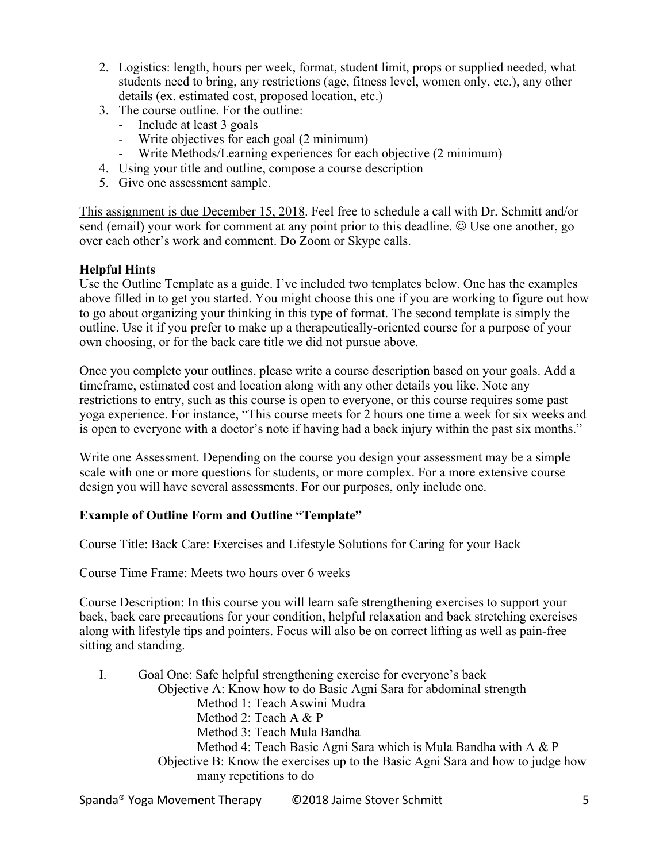- 2. Logistics: length, hours per week, format, student limit, props or supplied needed, what students need to bring, any restrictions (age, fitness level, women only, etc.), any other details (ex. estimated cost, proposed location, etc.)
- 3. The course outline. For the outline:
	- Include at least 3 goals
	- Write objectives for each goal (2 minimum)
	- Write Methods/Learning experiences for each objective (2 minimum)
- 4. Using your title and outline, compose a course description
- 5. Give one assessment sample.

This assignment is due December 15, 2018. Feel free to schedule a call with Dr. Schmitt and/or send (email) your work for comment at any point prior to this deadline.  $\odot$  Use one another, go over each other's work and comment. Do Zoom or Skype calls.

# **Helpful Hints**

Use the Outline Template as a guide. I've included two templates below. One has the examples above filled in to get you started. You might choose this one if you are working to figure out how to go about organizing your thinking in this type of format. The second template is simply the outline. Use it if you prefer to make up a therapeutically-oriented course for a purpose of your own choosing, or for the back care title we did not pursue above.

Once you complete your outlines, please write a course description based on your goals. Add a timeframe, estimated cost and location along with any other details you like. Note any restrictions to entry, such as this course is open to everyone, or this course requires some past yoga experience. For instance, "This course meets for 2 hours one time a week for six weeks and is open to everyone with a doctor's note if having had a back injury within the past six months."

Write one Assessment. Depending on the course you design your assessment may be a simple scale with one or more questions for students, or more complex. For a more extensive course design you will have several assessments. For our purposes, only include one.

# **Example of Outline Form and Outline "Template"**

Course Title: Back Care: Exercises and Lifestyle Solutions for Caring for your Back

Course Time Frame: Meets two hours over 6 weeks

Course Description: In this course you will learn safe strengthening exercises to support your back, back care precautions for your condition, helpful relaxation and back stretching exercises along with lifestyle tips and pointers. Focus will also be on correct lifting as well as pain-free sitting and standing.

| Ι. | Goal One: Safe helpful strengthening exercise for everyone's back              |
|----|--------------------------------------------------------------------------------|
|    | Objective A: Know how to do Basic Agni Sara for abdominal strength             |
|    | Method 1: Teach Aswini Mudra                                                   |
|    | Method 2: Teach A $\&$ P                                                       |
|    | Method 3: Teach Mula Bandha                                                    |
|    | Method 4: Teach Basic Agni Sara which is Mula Bandha with A & P                |
|    | Objective B: Know the exercises up to the Basic Agni Sara and how to judge how |
|    | many repetitions to do                                                         |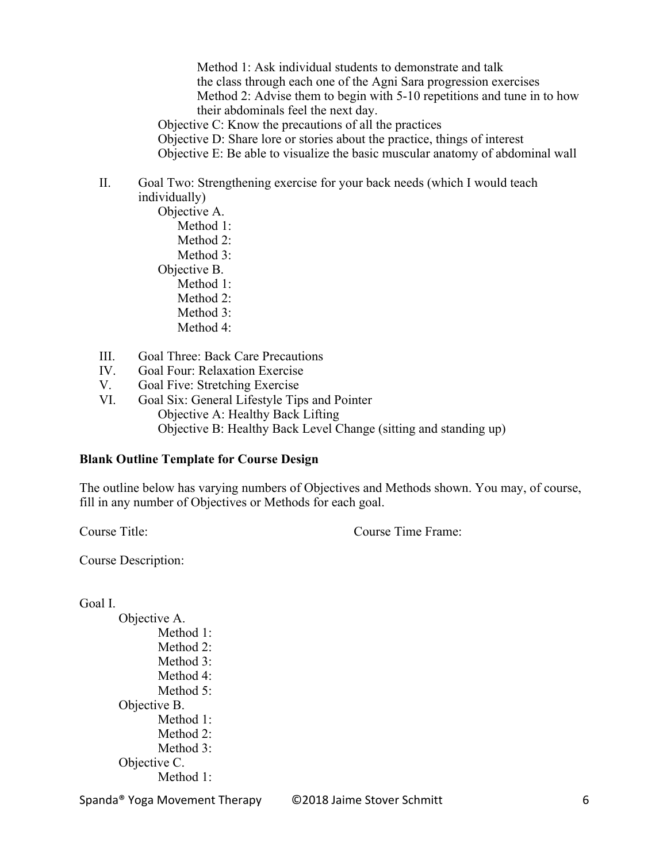Method 1: Ask individual students to demonstrate and talk the class through each one of the Agni Sara progression exercises Method 2: Advise them to begin with 5-10 repetitions and tune in to how their abdominals feel the next day.

Objective C: Know the precautions of all the practices

Objective D: Share lore or stories about the practice, things of interest

Objective E: Be able to visualize the basic muscular anatomy of abdominal wall

### II. Goal Two: Strengthening exercise for your back needs (which I would teach individually)

- Objective A. Method 1: Method 2: Method 3: Objective B. Method 1: Method 2: Method 3: Method 4:
- III. Goal Three: Back Care Precautions
- IV. Goal Four: Relaxation Exercise
- V. Goal Five: Stretching Exercise
- VI. Goal Six: General Lifestyle Tips and Pointer Objective A: Healthy Back Lifting Objective B: Healthy Back Level Change (sitting and standing up)

#### **Blank Outline Template for Course Design**

The outline below has varying numbers of Objectives and Methods shown. You may, of course, fill in any number of Objectives or Methods for each goal.

Course Title: Course Time Frame:

Course Description:

#### Goal I.

Objective A. Method 1: Method 2: Method 3: Method 4: Method 5: Objective B. Method 1: Method 2: Method 3: Objective C. Method 1:

Spanda® Yoga Movement Therapy ©2018 Jaime Stover Schmitt 6